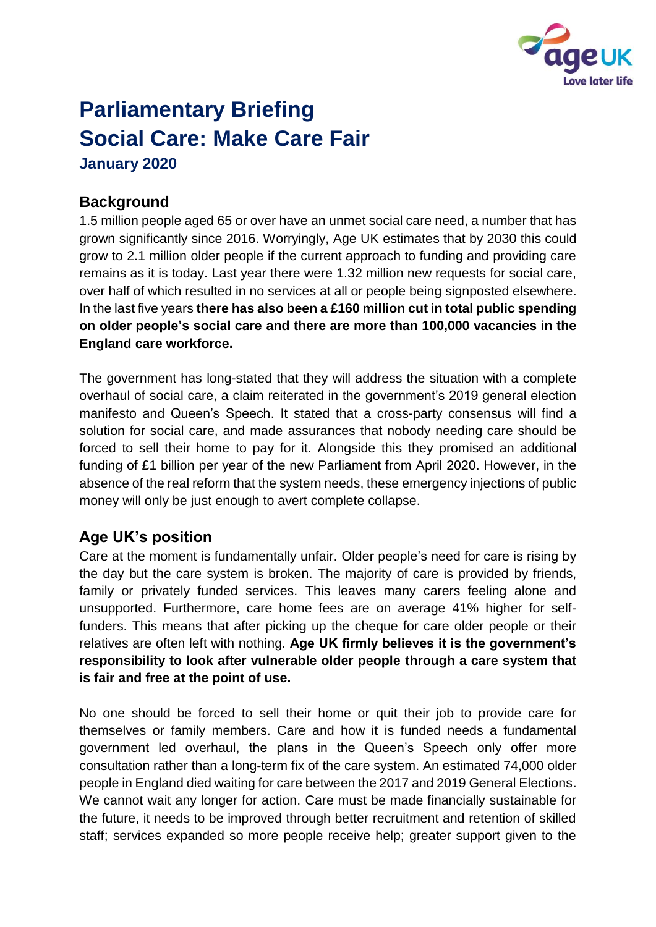

# **Parliamentary Briefing Social Care: Make Care Fair January 2020**

## **Background**

1.5 million people aged 65 or over have an unmet social care need, a number that has grown significantly since 2016. Worryingly, Age UK estimates that by 2030 this could grow to 2.1 million older people if the current approach to funding and providing care remains as it is today. Last year there were 1.32 million new requests for social care, over half of which resulted in no services at all or people being signposted elsewhere. In the last five years **there has also been a £160 million cut in total public spending on older people's social care and there are more than 100,000 vacancies in the England care workforce.** 

The government has long-stated that they will address the situation with a complete overhaul of social care, a claim reiterated in the government's 2019 general election manifesto and Queen's Speech. It stated that a cross-party consensus will find a solution for social care, and made assurances that nobody needing care should be forced to sell their home to pay for it. Alongside this they promised an additional funding of £1 billion per year of the new Parliament from April 2020. However, in the absence of the real reform that the system needs, these emergency injections of public money will only be just enough to avert complete collapse.

### **Age UK's position**

Care at the moment is fundamentally unfair. Older people's need for care is rising by the day but the care system is broken. The majority of care is provided by friends, family or privately funded services. This leaves many carers feeling alone and unsupported. Furthermore, care home fees are on average 41% higher for selffunders. This means that after picking up the cheque for care older people or their relatives are often left with nothing. **Age UK firmly believes it is the government's responsibility to look after vulnerable older people through a care system that is fair and free at the point of use.**

No one should be forced to sell their home or quit their job to provide care for themselves or family members. Care and how it is funded needs a fundamental government led overhaul, the plans in the Queen's Speech only offer more consultation rather than a long-term fix of the care system. An estimated 74,000 older people in England died waiting for care between the 2017 and 2019 General Elections. We cannot wait any longer for action. Care must be made financially sustainable for the future, it needs to be improved through better recruitment and retention of skilled staff; services expanded so more people receive help; greater support given to the